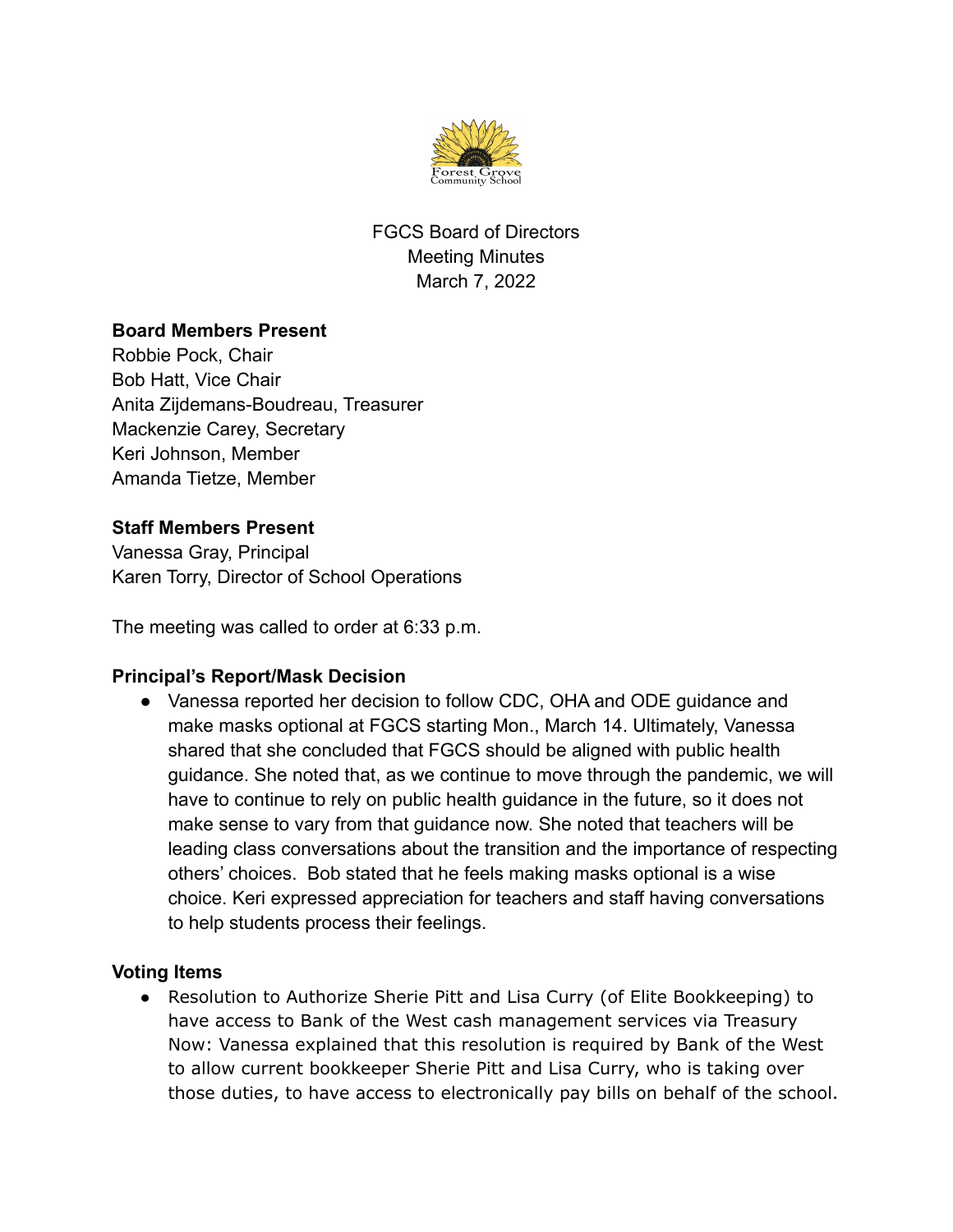

FGCS Board of Directors Meeting Minutes March 7, 2022

## **Board Members Present**

Robbie Pock, Chair Bob Hatt, Vice Chair Anita Zijdemans-Boudreau, Treasurer Mackenzie Carey, Secretary Keri Johnson, Member Amanda Tietze, Member

## **Staff Members Present**

Vanessa Gray, Principal Karen Torry, Director of School Operations

The meeting was called to order at 6:33 p.m.

## **Principal's Report/Mask Decision**

• Vanessa reported her decision to follow CDC, OHA and ODE guidance and make masks optional at FGCS starting Mon., March 14. Ultimately, Vanessa shared that she concluded that FGCS should be aligned with public health guidance. She noted that, as we continue to move through the pandemic, we will have to continue to rely on public health guidance in the future, so it does not make sense to vary from that guidance now. She noted that teachers will be leading class conversations about the transition and the importance of respecting others' choices. Bob stated that he feels making masks optional is a wise choice. Keri expressed appreciation for teachers and staff having conversations to help students process their feelings.

## **Voting Items**

● Resolution to Authorize Sherie Pitt and Lisa Curry (of Elite Bookkeeping) to have access to Bank of the West cash management services via Treasury Now: Vanessa explained that this resolution is required by Bank of the West to allow current bookkeeper Sherie Pitt and Lisa Curry, who is taking over those duties, to have access to electronically pay bills on behalf of the school.